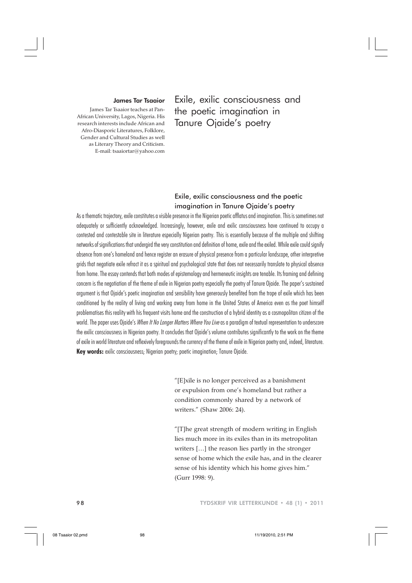#### James Tar Tsaaior

James Tar Tsaaior teaches at Pan-African University, Lagos, Nigeria. His research interests include African and Afro-Diasporic Literatures, Folklore, Gender and Cultural Studies as well as Literary Theory and Criticism. E-mail: tsaaiortar@yahoo.com

Exile, exilic consciousness and the poetic imagination in Tanure Ojaide's poetry

# Exile, exilic consciousness and the poetic imagination in Tanure Ojaide's poetry

As a thematic trajectory, exile constitutes a visible presence in the Nigerian poetic afflatus and imagination. This is sometimes not adequately or sufficiently acknowledged. Increasingly, however, exile and exilic consciousness have continued to occupy a contested and contestable site in literature especially Nigerian poetry. This is essentially because of the multiple and shifting networks of significations that undergird the very constitution and definition of home, exile and the exiled. While exile could signify absence from one's homeland and hence register an erasure of physical presence from a particular landscape, other interpretive grids that negotiate exile refract it as a spiritual and psychological state that does not necessarily translate to physical absence from home. The essay contends that both modes of epistemology and hermeneutic insights are tenable. Its framing and defining concern is the negotiation of the theme of exile in Nigerian poetry especially the poetry of Tanure Ojaide. The paper's sustained argument is that Ojaide's poetic imagination and sensibility have generously benefited from the trope of exile which has been conditioned by the reality of living and working away from home in the United States of America even as the poet himself problematises this reality with his frequent visits home and the construction of a hybrid identity as a cosmopolitan citizen of the world. The paper uses Ojaide's When It No Longer Matters Where You Live as a paradigm of textual representation to underscore the exilic consciousness in Nigerian poetry. It concludes that Ojaide's volume contributes significantly to the work on the theme of exile in world literature and reflexively foregrounds the currency of the theme of exile in Nigerian poetry and, indeed, literature. **Key words:** exilic consciousness; Nigerian poetry; poetic imagination; Tanure Ojaide.

> "[E]xile is no longer perceived as a banishment or expulsion from one's homeland but rather a condition commonly shared by a network of writers." (Shaw 2006: 24).

"[T]he great strength of modern writing in English lies much more in its exiles than in its metropolitan writers […] the reason lies partly in the stronger sense of home which the exile has, and in the clearer sense of his identity which his home gives him." (Gurr 1998: 9).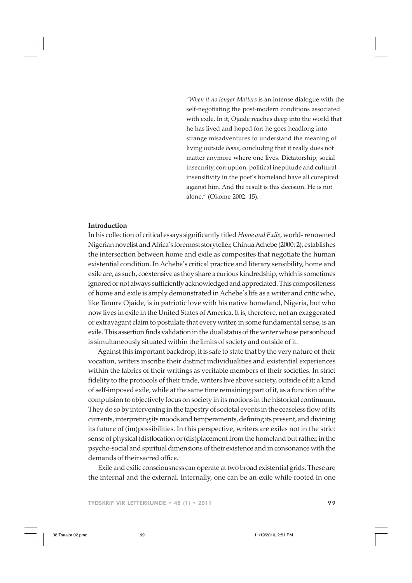"*When it no longer Matters* is an intense dialogue with the self-negotiating the post-modern conditions associated with exile. In it, Ojaide reaches deep into the world that he has lived and hoped for; he goes headlong into strange misadventures to understand the meaning of living outside *home*, concluding that it really does not matter anymore where one lives. Dictatorship, social insecurity, corruption, political ineptitude and cultural insensitivity in the poet's homeland have all conspired against him. And the result is this decision. He is not alone." (Okome 2002: 15).

## **Introduction**

In his collection of critical essays significantly titled *Home and Exile*, world- renowned Nigerian novelist and Africa's foremost storyteller, Chinua Achebe (2000: 2), establishes the intersection between home and exile as composites that negotiate the human existential condition. In Achebe's critical practice and literary sensibility, home and exile are, as such, coextensive as they share a curious kindredship, which is sometimes ignored or not always sufficiently acknowledged and appreciated. This compositeness of home and exile is amply demonstrated in Achebe's life as a writer and critic who, like Tanure Ojaide, is in patriotic love with his native homeland, Nigeria, but who now lives in exile in the United States of America. It is, therefore, not an exaggerated or extravagant claim to postulate that every writer, in some fundamental sense, is an exile. This assertion finds validation in the dual status of the writer whose personhood is simultaneously situated within the limits of society and outside of it.

Against this important backdrop, it is safe to state that by the very nature of their vocation, writers inscribe their distinct individualities and existential experiences within the fabrics of their writings as veritable members of their societies. In strict fidelity to the protocols of their trade, writers live above society, outside of it; a kind of self-imposed exile, while at the same time remaining part of it, as a function of the compulsion to objectively focus on society in its motions in the historical continuum. They do so by intervening in the tapestry of societal events in the ceaseless flow of its currents, interpreting its moods and temperaments, defining its present, and divining its future of (im)possibilities. In this perspective, writers are exiles not in the strict sense of physical (dis)location or (dis)placement from the homeland but rather, in the psycho-social and spiritual dimensions of their existence and in consonance with the demands of their sacred office.

Exile and exilic consciousness can operate at two broad existential grids. These are the internal and the external. Internally, one can be an exile while rooted in one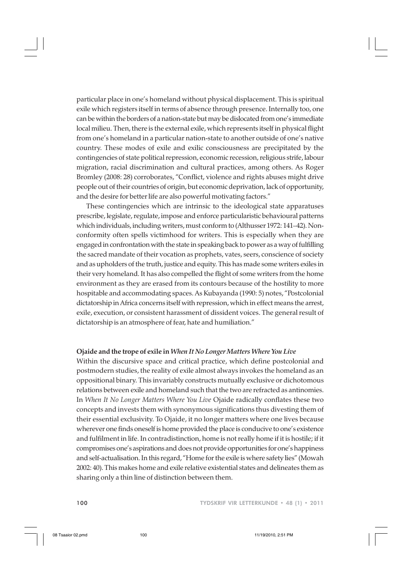particular place in one's homeland without physical displacement. This is spiritual exile which registers itself in terms of absence through presence. Internally too, one can be within the borders of a nation-state but may be dislocated from one's immediate local milieu. Then, there is the external exile, which represents itself in physical flight from one's homeland in a particular nation-state to another outside of one's native country. These modes of exile and exilic consciousness are precipitated by the contingencies of state political repression, economic recession, religious strife, labour migration, racial discrimination and cultural practices, among others. As Roger Bromley (2008: 28) corroborates, "Conflict, violence and rights abuses might drive people out of their countries of origin, but economic deprivation, lack of opportunity, and the desire for better life are also powerful motivating factors."

These contingencies which are intrinsic to the ideological state apparatuses prescribe, legislate, regulate, impose and enforce particularistic behavioural patterns which individuals, including writers, must conform to (Althusser 1972: 141–42). Nonconformity often spells victimhood for writers. This is especially when they are engaged in confrontation with the state in speaking back to power as a way of fulfilling the sacred mandate of their vocation as prophets, vates, seers, conscience of society and as upholders of the truth, justice and equity. This has made some writers exiles in their very homeland. It has also compelled the flight of some writers from the home environment as they are erased from its contours because of the hostility to more hospitable and accommodating spaces. As Kubayanda (1990: 5) notes, "Postcolonial dictatorship in Africa concerns itself with repression, which in effect means the arrest, exile, execution, or consistent harassment of dissident voices. The general result of dictatorship is an atmosphere of fear, hate and humiliation."

## **Ojaide and the trope of exile in** *When It No Longer Matters Where You Live*

Within the discursive space and critical practice, which define postcolonial and postmodern studies, the reality of exile almost always invokes the homeland as an oppositional binary. This invariably constructs mutually exclusive or dichotomous relations between exile and homeland such that the two are refracted as antinomies. In *When It No Longer Matters Where You Live* Ojaide radically conflates these two concepts and invests them with synonymous significations thus divesting them of their essential exclusivity. To Ojaide, it no longer matters where one lives because wherever one finds oneself is home provided the place is conducive to one's existence and fulfilment in life. In contradistinction, home is not really home if it is hostile; if it compromises one's aspirations and does not provide opportunities for one's happiness and self-actualisation. In this regard, "Home for the exile is where safety lies" (Mowah 2002: 40). This makes home and exile relative existential states and delineates them as sharing only a thin line of distinction between them.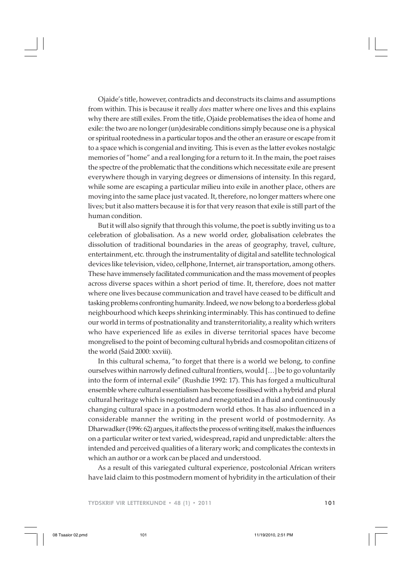Ojaide's title, however, contradicts and deconstructs its claims and assumptions from within. This is because it really *does* matter where one lives and this explains why there are still exiles. From the title, Ojaide problematises the idea of home and exile: the two are no longer (un)desirable conditions simply because one is a physical or spiritual rootedness in a particular topos and the other an erasure or escape from it to a space which is congenial and inviting. This is even as the latter evokes nostalgic memories of "home" and a real longing for a return to it. In the main, the poet raises the spectre of the problematic that the conditions which necessitate exile are present everywhere though in varying degrees or dimensions of intensity. In this regard, while some are escaping a particular milieu into exile in another place, others are moving into the same place just vacated. It, therefore, no longer matters where one lives; but it also matters because it is for that very reason that exile is still part of the human condition.

But it will also signify that through this volume, the poet is subtly inviting us to a celebration of globalisation. As a new world order, globalisation celebrates the dissolution of traditional boundaries in the areas of geography, travel, culture, entertainment, etc. through the instrumentality of digital and satellite technological devices like television, video, cellphone, Internet, air transportation, among others. These have immensely facilitated communication and the mass movement of peoples across diverse spaces within a short period of time. It, therefore, does not matter where one lives because communication and travel have ceased to be difficult and tasking problems confronting humanity. Indeed, we now belong to a borderless global neighbourhood which keeps shrinking interminably. This has continued to define our world in terms of postnationality and transterritoriality, a reality which writers who have experienced life as exiles in diverse territorial spaces have become mongrelised to the point of becoming cultural hybrids and cosmopolitan citizens of the world (Said 2000: xxviii).

In this cultural schema, "to forget that there is a world we belong, to confine ourselves within narrowly defined cultural frontiers, would […] be to go voluntarily into the form of internal exile" (Rushdie 1992: 17). This has forged a multicultural ensemble where cultural essentialism has become fossilised with a hybrid and plural cultural heritage which is negotiated and renegotiated in a fluid and continuously changing cultural space in a postmodern world ethos. It has also influenced in a considerable manner the writing in the present world of postmodernity. As Dharwadker (1996: 62) argues, it affects the process of writing itself, makes the influences on a particular writer or text varied, widespread, rapid and unpredictable: alters the intended and perceived qualities of a literary work; and complicates the contexts in which an author or a work can be placed and understood.

As a result of this variegated cultural experience, postcolonial African writers have laid claim to this postmodern moment of hybridity in the articulation of their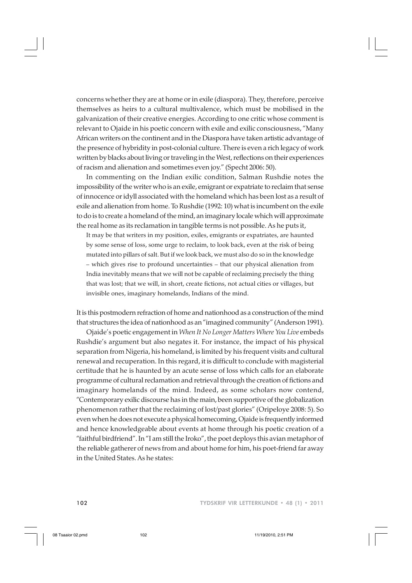concerns whether they are at home or in exile (diaspora). They, therefore, perceive themselves as heirs to a cultural multivalence, which must be mobilised in the galvanization of their creative energies. According to one critic whose comment is relevant to Ojaide in his poetic concern with exile and exilic consciousness, "Many African writers on the continent and in the Diaspora have taken artistic advantage of the presence of hybridity in post-colonial culture. There is even a rich legacy of work written by blacks about living or traveling in the West, reflections on their experiences of racism and alienation and sometimes even joy." (Specht 2006: 50).

In commenting on the Indian exilic condition, Salman Rushdie notes the impossibility of the writer who is an exile, emigrant or expatriate to reclaim that sense of innocence or idyll associated with the homeland which has been lost as a result of exile and alienation from home. To Rushdie (1992: 10) what is incumbent on the exile to do is to create a homeland of the mind, an imaginary locale which will approximate the real home as its reclamation in tangible terms is not possible. As he puts it,

It may be that writers in my position, exiles, emigrants or expatriates, are haunted by some sense of loss, some urge to reclaim, to look back, even at the risk of being mutated into pillars of salt. But if we look back, we must also do so in the knowledge – which gives rise to profound uncertainties – that our physical alienation from India inevitably means that we will not be capable of reclaiming precisely the thing that was lost; that we will, in short, create fictions, not actual cities or villages, but invisible ones, imaginary homelands, Indians of the mind.

It is this postmodern refraction of home and nationhood as a construction of the mind that structures the idea of nationhood as an "imagined community" (Anderson 1991).

Ojaide's poetic engagement in *When It No Longer Matters Where You Live* embeds Rushdie's argument but also negates it. For instance, the impact of his physical separation from Nigeria, his homeland, is limited by his frequent visits and cultural renewal and recuperation. In this regard, it is difficult to conclude with magisterial certitude that he is haunted by an acute sense of loss which calls for an elaborate programme of cultural reclamation and retrieval through the creation of fictions and imaginary homelands of the mind. Indeed, as some scholars now contend, "Contemporary exilic discourse has in the main, been supportive of the globalization phenomenon rather that the reclaiming of lost/past glories" (Oripeloye 2008: 5). So even when he does not execute a physical homecoming, Ojaide is frequently informed and hence knowledgeable about events at home through his poetic creation of a "faithful birdfriend". In "I am still the Iroko", the poet deploys this avian metaphor of the reliable gatherer of news from and about home for him, his poet-friend far away in the United States. As he states: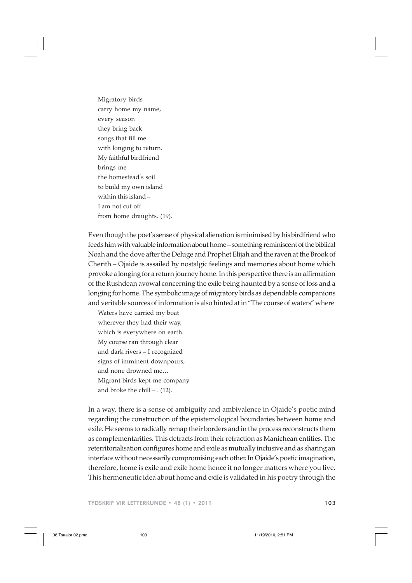Migratory birds carry home my name, every season they bring back songs that fill me with longing to return. My faithful birdfriend brings me the homestead's soil to build my own island within this island – I am not cut off from home draughts. (19).

Even though the poet's sense of physical alienation is minimised by his birdfriend who feeds him with valuable information about home – something reminiscent of the biblical Noah and the dove after the Deluge and Prophet Elijah and the raven at the Brook of Cherith – Ojaide is assailed by nostalgic feelings and memories about home which provoke a longing for a return journey home. In this perspective there is an affirmation of the Rushdean avowal concerning the exile being haunted by a sense of loss and a longing for home. The symbolic image of migratory birds as dependable companions and veritable sources of information is also hinted at in "The course of waters" where

Waters have carried my boat wherever they had their way, which is everywhere on earth. My course ran through clear and dark rivers – I recognized signs of imminent downpours, and none drowned me… Migrant birds kept me company and broke the chill – . (12).

In a way, there is a sense of ambiguity and ambivalence in Ojaide's poetic mind regarding the construction of the epistemological boundaries between home and exile. He seems to radically remap their borders and in the process reconstructs them as complementarities. This detracts from their refraction as Manichean entities. The reterritorialisation configures home and exile as mutually inclusive and as sharing an interface without necessarily compromising each other. In Ojaide's poetic imagination, therefore, home is exile and exile home hence it no longer matters where you live. This hermeneutic idea about home and exile is validated in his poetry through the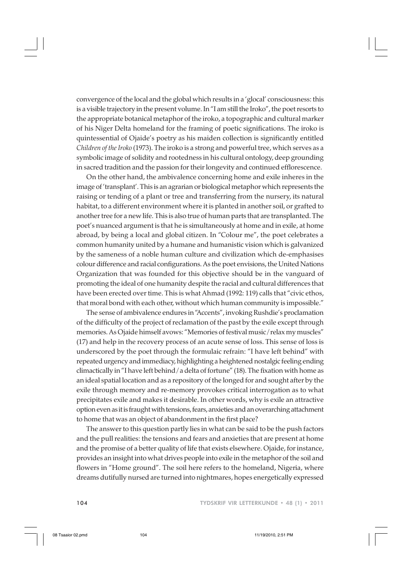convergence of the local and the global which results in a 'glocal' consciousness: this is a visible trajectory in the present volume. In "I am still the Iroko", the poet resorts to the appropriate botanical metaphor of the iroko, a topographic and cultural marker of his Niger Delta homeland for the framing of poetic significations. The iroko is quintessential of Ojaide's poetry as his maiden collection is significantly entitled *Children of the Iroko* (1973). The iroko is a strong and powerful tree, which serves as a symbolic image of solidity and rootedness in his cultural ontology, deep grounding in sacred tradition and the passion for their longevity and continued efflorescence.

On the other hand, the ambivalence concerning home and exile inheres in the image of 'transplant'. This is an agrarian or biological metaphor which represents the raising or tending of a plant or tree and transferring from the nursery, its natural habitat, to a different environment where it is planted in another soil, or grafted to another tree for a new life. This is also true of human parts that are transplanted. The poet's nuanced argument is that he is simultaneously at home and in exile, at home abroad, by being a local and global citizen. In "Colour me", the poet celebrates a common humanity united by a humane and humanistic vision which is galvanized by the sameness of a noble human culture and civilization which de-emphasises colour difference and racial configurations. As the poet envisions, the United Nations Organization that was founded for this objective should be in the vanguard of promoting the ideal of one humanity despite the racial and cultural differences that have been erected over time. This is what Ahmad (1992: 119) calls that "civic ethos, that moral bond with each other, without which human community is impossible."

The sense of ambivalence endures in "Accents", invoking Rushdie's proclamation of the difficulty of the project of reclamation of the past by the exile except through memories. As Ojaide himself avows: "Memories of festival music / relax my muscles" (17) and help in the recovery process of an acute sense of loss. This sense of loss is underscored by the poet through the formulaic refrain: "I have left behind" with repeated urgency and immediacy, highlighting a heightened nostalgic feeling ending climactically in "I have left behind / a delta of fortune" (18). The fixation with home as an ideal spatial location and as a repository of the longed for and sought after by the exile through memory and re-memory provokes critical interrogation as to what precipitates exile and makes it desirable. In other words, why is exile an attractive option even as it is fraught with tensions, fears, anxieties and an overarching attachment to home that was an object of abandonment in the first place?

The answer to this question partly lies in what can be said to be the push factors and the pull realities: the tensions and fears and anxieties that are present at home and the promise of a better quality of life that exists elsewhere. Ojaide, for instance, provides an insight into what drives people into exile in the metaphor of the soil and flowers in "Home ground". The soil here refers to the homeland, Nigeria, where dreams dutifully nursed are turned into nightmares, hopes energetically expressed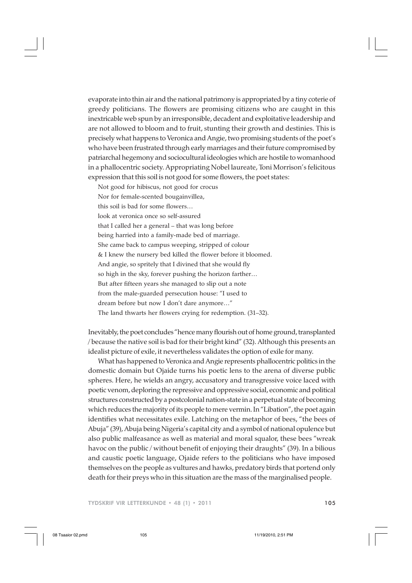evaporate into thin air and the national patrimony is appropriated by a tiny coterie of greedy politicians. The flowers are promising citizens who are caught in this inextricable web spun by an irresponsible, decadent and exploitative leadership and are not allowed to bloom and to fruit, stunting their growth and destinies. This is precisely what happens to Veronica and Angie, two promising students of the poet's who have been frustrated through early marriages and their future compromised by patriarchal hegemony and sociocultural ideologies which are hostile to womanhood in a phallocentric society. Appropriating Nobel laureate, Toni Morrison's felicitous expression that this soil is not good for some flowers, the poet states:

Not good for hibiscus, not good for crocus Nor for female-scented bougainvillea, this soil is bad for some flowers… look at veronica once so self-assured that I called her a general – that was long before being harried into a family-made bed of marriage. She came back to campus weeping, stripped of colour & I knew the nursery bed killed the flower before it bloomed. And angie, so spritely that I divined that she would fly so high in the sky, forever pushing the horizon farther… But after fifteen years she managed to slip out a note from the male-guarded persecution house: "I used to dream before but now I don't dare anymore…" The land thwarts her flowers crying for redemption. (31–32).

Inevitably, the poet concludes "hence many flourish out of home ground, transplanted / because the native soil is bad for their bright kind" (32). Although this presents an idealist picture of exile, it nevertheless validates the option of exile for many.

What has happened to Veronica and Angie represents phallocentric politics in the domestic domain but Ojaide turns his poetic lens to the arena of diverse public spheres. Here, he wields an angry, accusatory and transgressive voice laced with poetic venom, deploring the repressive and oppressive social, economic and political structures constructed by a postcolonial nation-state in a perpetual state of becoming which reduces the majority of its people to mere vermin. In "Libation", the poet again identifies what necessitates exile. Latching on the metaphor of bees, "the bees of Abuja" (39), Abuja being Nigeria's capital city and a symbol of national opulence but also public malfeasance as well as material and moral squalor, these bees "wreak havoc on the public / without benefit of enjoying their draughts" (39). In a bilious and caustic poetic language, Ojaide refers to the politicians who have imposed themselves on the people as vultures and hawks, predatory birds that portend only death for their preys who in this situation are the mass of the marginalised people.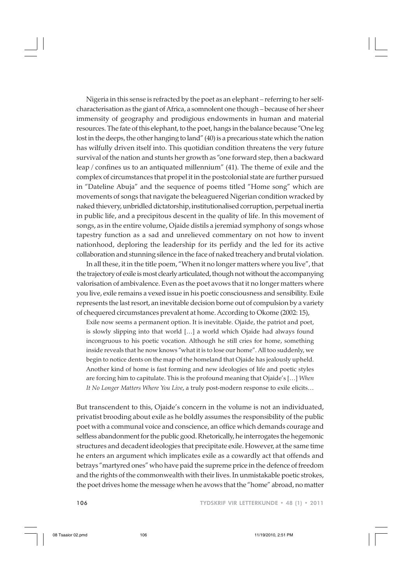Nigeria in this sense is refracted by the poet as an elephant – referring to her selfcharacterisation as the giant of Africa, a somnolent one though – because of her sheer immensity of geography and prodigious endowments in human and material resources. The fate of this elephant, to the poet, hangs in the balance because "One leg lost in the deeps, the other hanging to land" (40) is a precarious state which the nation has wilfully driven itself into. This quotidian condition threatens the very future survival of the nation and stunts her growth as "one forward step, then a backward leap / confines us to an antiquated millennium" (41). The theme of exile and the complex of circumstances that propel it in the postcolonial state are further pursued in "Dateline Abuja" and the sequence of poems titled "Home song" which are movements of songs that navigate the beleaguered Nigerian condition wracked by naked thievery, unbridled dictatorship, institutionalised corruption, perpetual inertia in public life, and a precipitous descent in the quality of life. In this movement of songs, as in the entire volume, Ojaide distils a jeremiad symphony of songs whose tapestry function as a sad and unrelieved commentary on not how to invent nationhood, deploring the leadership for its perfidy and the led for its active collaboration and stunning silence in the face of naked treachery and brutal violation.

In all these, it in the title poem, "When it no longer matters where you live", that the trajectory of exile is most clearly articulated, though not without the accompanying valorisation of ambivalence. Even as the poet avows that it no longer matters where you live, exile remains a vexed issue in his poetic consciousness and sensibility. Exile represents the last resort, an inevitable decision borne out of compulsion by a variety of chequered circumstances prevalent at home. According to Okome (2002: 15),

Exile now seems a permanent option. It is inevitable. Ojaide, the patriot and poet, is slowly slipping into that world […] a world which Ojaide had always found incongruous to his poetic vocation. Although he still cries for home, something inside reveals that he now knows "what it is to lose our home". All too suddenly, we begin to notice dents on the map of the homeland that Ojaide has jealously upheld. Another kind of home is fast forming and new ideologies of life and poetic styles are forcing him to capitulate. This is the profound meaning that Ojaide's […] *When It No Longer Matters Where You Live*, a truly post-modern response to exile elicits…

But transcendent to this, Ojaide's concern in the volume is not an individuated, privatist brooding about exile as he boldly assumes the responsibility of the public poet with a communal voice and conscience, an office which demands courage and selfless abandonment for the public good. Rhetorically, he interrogates the hegemonic structures and decadent ideologies that precipitate exile. However, at the same time he enters an argument which implicates exile as a cowardly act that offends and betrays "martyred ones" who have paid the supreme price in the defence of freedom and the rights of the commonwealth with their lives. In unmistakable poetic strokes, the poet drives home the message when he avows that the "home" abroad, no matter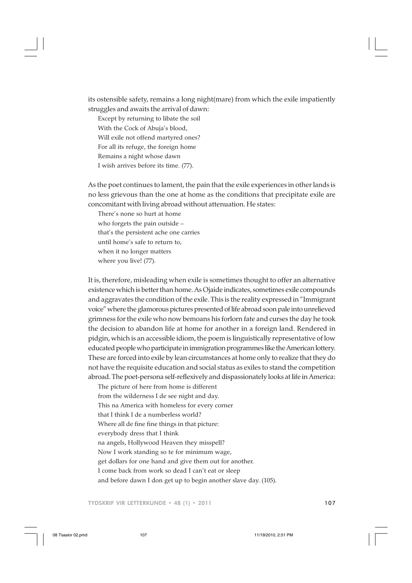its ostensible safety, remains a long night(mare) from which the exile impatiently struggles and awaits the arrival of dawn:

Except by returning to libate the soil With the Cock of Abuja's blood, Will exile not offend martyred ones? For all its refuge, the foreign home Remains a night whose dawn I wish arrives before its time. (77).

As the poet continues to lament, the pain that the exile experiences in other lands is no less grievous than the one at home as the conditions that precipitate exile are concomitant with living abroad without attenuation. He states:

There's none so hurt at home who forgets the pain outside – that's the persistent ache one carries until home's safe to return to, when it no longer matters where you live! (77).

It is, therefore, misleading when exile is sometimes thought to offer an alternative existence which is better than home. As Ojaide indicates, sometimes exile compounds and aggravates the condition of the exile. This is the reality expressed in "Immigrant voice" where the glamorous pictures presented of life abroad soon pale into unrelieved grimness for the exile who now bemoans his forlorn fate and curses the day he took the decision to abandon life at home for another in a foreign land. Rendered in pidgin, which is an accessible idiom, the poem is linguistically representative of low educated people who participate in immigration programmes like the American lottery. These are forced into exile by lean circumstances at home only to realize that they do not have the requisite education and social status as exiles to stand the competition abroad. The poet-persona self-reflexively and dispassionately looks at life in America:

The picture of here from home is different from the wilderness I de see night and day. This na America with homeless for every corner that I think I de a numberless world? Where all de fine fine things in that picture: everybody dress that I think na angels, Hollywood Heaven they misspell?

Now I work standing so te for minimum wage,

get dollars for one hand and give them out for another.

I come back from work so dead I can't eat or sleep

and before dawn I don get up to begin another slave day. (105).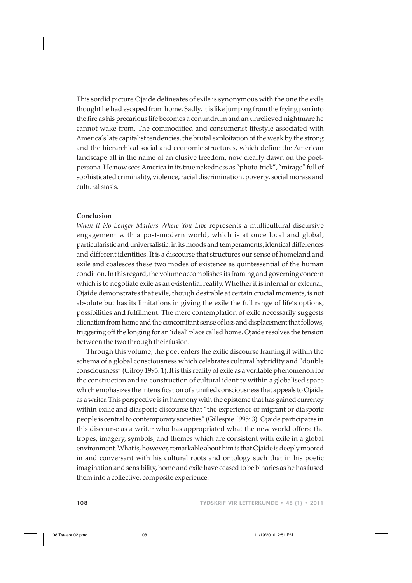This sordid picture Ojaide delineates of exile is synonymous with the one the exile thought he had escaped from home. Sadly, it is like jumping from the frying pan into the fire as his precarious life becomes a conundrum and an unrelieved nightmare he cannot wake from. The commodified and consumerist lifestyle associated with America's late capitalist tendencies, the brutal exploitation of the weak by the strong and the hierarchical social and economic structures, which define the American landscape all in the name of an elusive freedom, now clearly dawn on the poetpersona. He now sees America in its true nakedness as "photo-trick", "mirage" full of sophisticated criminality, violence, racial discrimination, poverty, social morass and cultural stasis.

## **Conclusion**

*When It No Longer Matters Where You Live* represents a multicultural discursive engagement with a post-modern world, which is at once local and global, particularistic and universalistic, in its moods and temperaments, identical differences and different identities. It is a discourse that structures our sense of homeland and exile and coalesces these two modes of existence as quintessential of the human condition. In this regard, the volume accomplishes its framing and governing concern which is to negotiate exile as an existential reality. Whether it is internal or external, Ojaide demonstrates that exile, though desirable at certain crucial moments, is not absolute but has its limitations in giving the exile the full range of life's options, possibilities and fulfilment. The mere contemplation of exile necessarily suggests alienation from home and the concomitant sense of loss and displacement that follows, triggering off the longing for an 'ideal' place called home. Ojaide resolves the tension between the two through their fusion.

Through this volume, the poet enters the exilic discourse framing it within the schema of a global consciousness which celebrates cultural hybridity and "double consciousness" (Gilroy 1995: 1). It is this reality of exile as a veritable phenomenon for the construction and re-construction of cultural identity within a globalised space which emphasizes the intensification of a unified consciousness that appeals to Ojaide as a writer. This perspective is in harmony with the episteme that has gained currency within exilic and diasporic discourse that "the experience of migrant or diasporic people is central to contemporary societies" (Gillespie 1995: 3). Ojaide participates in this discourse as a writer who has appropriated what the new world offers: the tropes, imagery, symbols, and themes which are consistent with exile in a global environment. What is, however, remarkable about him is that Ojaide is deeply moored in and conversant with his cultural roots and ontology such that in his poetic imagination and sensibility, home and exile have ceased to be binaries as he has fused them into a collective, composite experience.